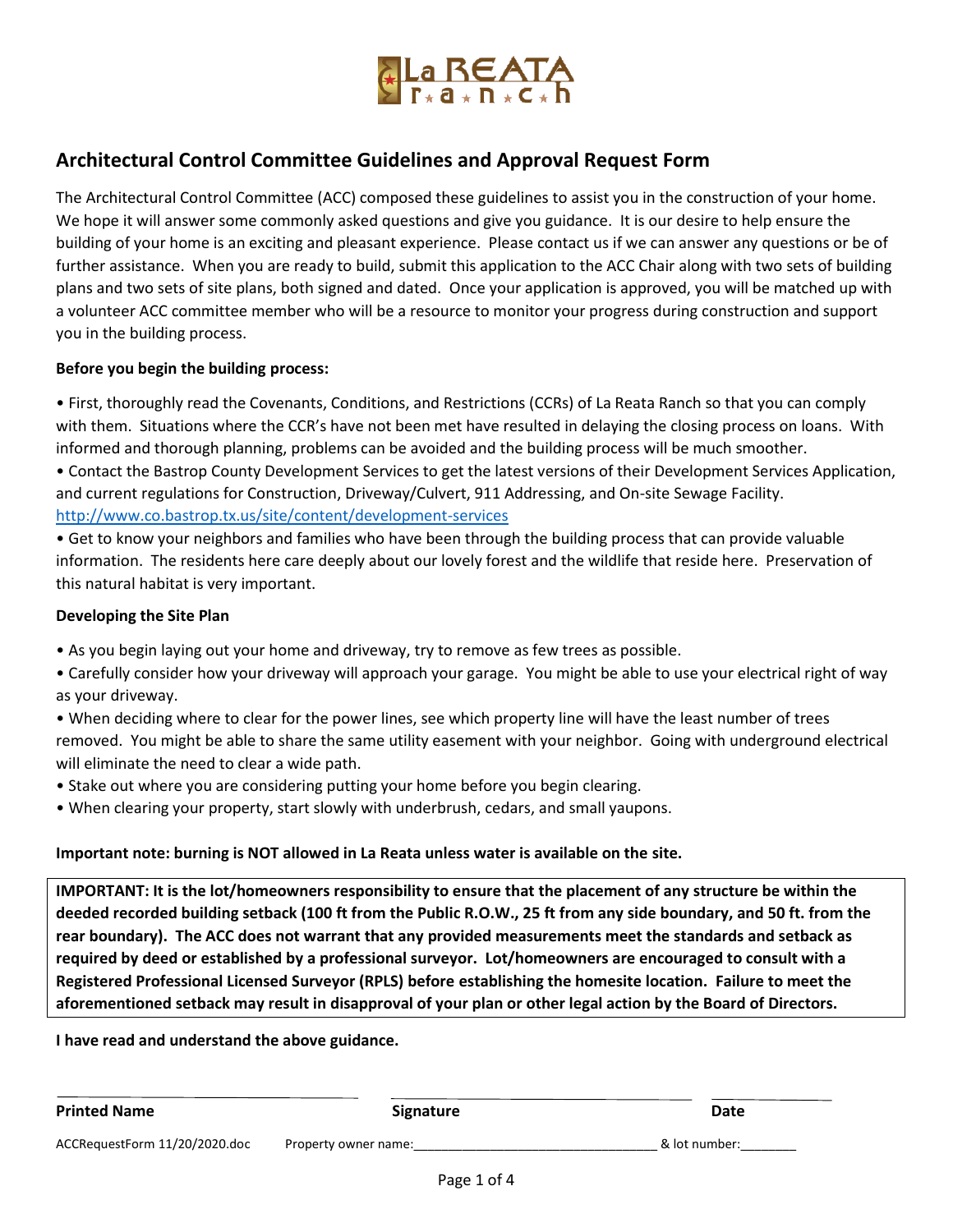

# **Architectural Control Committee Guidelines and Approval Request Form**

The Architectural Control Committee (ACC) composed these guidelines to assist you in the construction of your home. We hope it will answer some commonly asked questions and give you guidance. It is our desire to help ensure the building of your home is an exciting and pleasant experience. Please contact us if we can answer any questions or be of further assistance. When you are ready to build, submit this application to the ACC Chair along with two sets of building plans and two sets of site plans, both signed and dated. Once your application is approved, you will be matched up with a volunteer ACC committee member who will be a resource to monitor your progress during construction and support you in the building process.

### **Before you begin the building process:**

• First, thoroughly read the Covenants, Conditions, and Restrictions (CCRs) of La Reata Ranch so that you can comply with them. Situations where the CCR's have not been met have resulted in delaying the closing process on loans. With informed and thorough planning, problems can be avoided and the building process will be much smoother.

• Contact the Bastrop County Development Services to get the latest versions of their Development Services Application, and current regulations for Construction, Driveway/Culvert, 911 Addressing, and On-site Sewage Facility. <http://www.co.bastrop.tx.us/site/content/development-services>

• Get to know your neighbors and families who have been through the building process that can provide valuable information. The residents here care deeply about our lovely forest and the wildlife that reside here. Preservation of this natural habitat is very important.

### **Developing the Site Plan**

- As you begin laying out your home and driveway, try to remove as few trees as possible.
- Carefully consider how your driveway will approach your garage. You might be able to use your electrical right of way as your driveway.
- When deciding where to clear for the power lines, see which property line will have the least number of trees removed. You might be able to share the same utility easement with your neighbor. Going with underground electrical will eliminate the need to clear a wide path.
- Stake out where you are considering putting your home before you begin clearing.
- When clearing your property, start slowly with underbrush, cedars, and small yaupons.

### **Important note: burning is NOT allowed in La Reata unless water is available on the site.**

**IMPORTANT: It is the lot/homeowners responsibility to ensure that the placement of any structure be within the deeded recorded building setback (100 ft from the Public R.O.W., 25 ft from any side boundary, and 50 ft. from the rear boundary). The ACC does not warrant that any provided measurements meet the standards and setback as required by deed or established by a professional surveyor. Lot/homeowners are encouraged to consult with a Registered Professional Licensed Surveyor (RPLS) before establishing the homesite location. Failure to meet the aforementioned setback may result in disapproval of your plan or other legal action by the Board of Directors.**

**I have read and understand the above guidance.**

| <b>Printed Name</b>           | <b>Signature</b>     | Date          |
|-------------------------------|----------------------|---------------|
| ACCRequestForm 11/20/2020.doc | Property owner name: | & lot number: |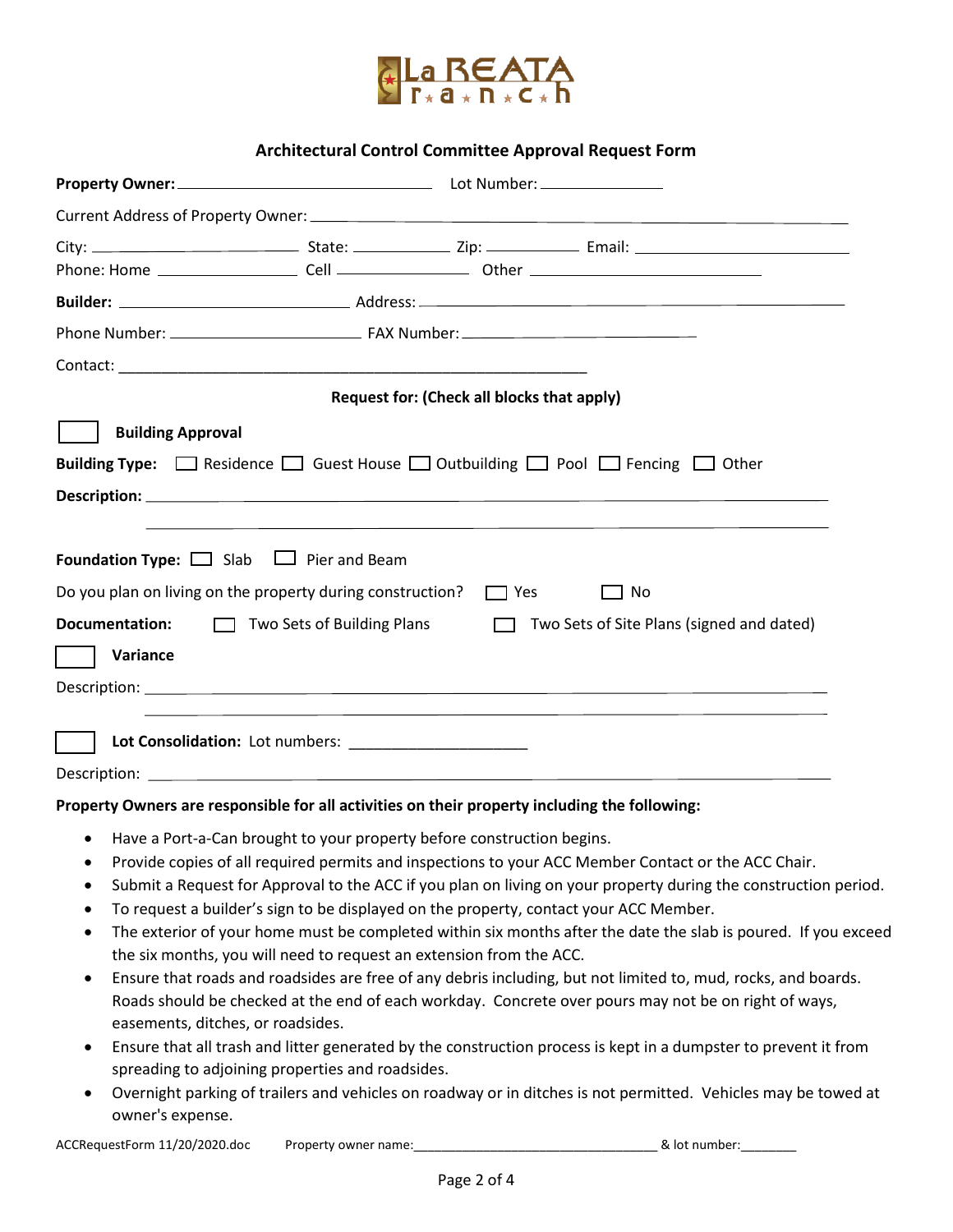

## **Architectural Control Committee Approval Request Form**

|                                                                                               |                                                                        | Request for: (Check all blocks that apply) |                                                                                                                      |  |
|-----------------------------------------------------------------------------------------------|------------------------------------------------------------------------|--------------------------------------------|----------------------------------------------------------------------------------------------------------------------|--|
| <b>Building Approval</b>                                                                      |                                                                        |                                            |                                                                                                                      |  |
|                                                                                               |                                                                        |                                            | <b>Building Type:</b> $\Box$ Residence $\Box$ Guest House $\Box$ Outbuilding $\Box$ Pool $\Box$ Fencing $\Box$ Other |  |
|                                                                                               |                                                                        |                                            |                                                                                                                      |  |
|                                                                                               |                                                                        |                                            |                                                                                                                      |  |
|                                                                                               |                                                                        |                                            |                                                                                                                      |  |
| <b>Foundation Type:</b> $\Box$ Slab $\Box$ Pier and Beam                                      |                                                                        |                                            |                                                                                                                      |  |
| Do you plan on living on the property during construction? $\Box$ Yes                         |                                                                        |                                            | $\Box$ No                                                                                                            |  |
| <b>Documentation:</b>                                                                         | $\Box$ Two Sets of Building Plans                                      |                                            | Two Sets of Site Plans (signed and dated)                                                                            |  |
| Variance                                                                                      |                                                                        |                                            |                                                                                                                      |  |
|                                                                                               |                                                                        |                                            |                                                                                                                      |  |
|                                                                                               |                                                                        |                                            |                                                                                                                      |  |
|                                                                                               |                                                                        |                                            |                                                                                                                      |  |
|                                                                                               |                                                                        |                                            |                                                                                                                      |  |
| Property Owners are responsible for all activities on their property including the following: |                                                                        |                                            |                                                                                                                      |  |
|                                                                                               | Have a Port-a-Can brought to your property before construction begins. |                                            |                                                                                                                      |  |
|                                                                                               |                                                                        |                                            | Provide copies of all required permits and inspections to your ACC Member Contact or the ACC Chair.                  |  |
| ٠                                                                                             |                                                                        |                                            | Submit a Request for Approval to the ACC if you plan on living on your property during the construction period.      |  |
| ٠                                                                                             |                                                                        |                                            | To request a builder's sign to be displayed on the property, contact your ACC Member.                                |  |
| $\bullet$                                                                                     |                                                                        |                                            | The exterior of your home must be completed within six months after the date the slab is poured. If you exceed       |  |
|                                                                                               | the six months, you will need to request an extension from the ACC.    |                                            |                                                                                                                      |  |
| $\bullet$                                                                                     |                                                                        |                                            | Ensure that roads and roadsides are free of any debris including, but not limited to, mud, rocks, and boards.        |  |
|                                                                                               |                                                                        |                                            | Roads should be checked at the end of each workday. Concrete over pours may not be on right of ways,                 |  |
| easements, ditches, or roadsides.                                                             |                                                                        |                                            |                                                                                                                      |  |
| ٠                                                                                             |                                                                        |                                            | Ensure that all trash and litter generated by the construction process is kept in a dumpster to prevent it from      |  |
|                                                                                               | spreading to adjoining properties and roadsides.                       |                                            |                                                                                                                      |  |
| $\bullet$                                                                                     |                                                                        |                                            | Overnight parking of trailers and vehicles on roadway or in ditches is not permitted. Vehicles may be towed at       |  |

owner's expense.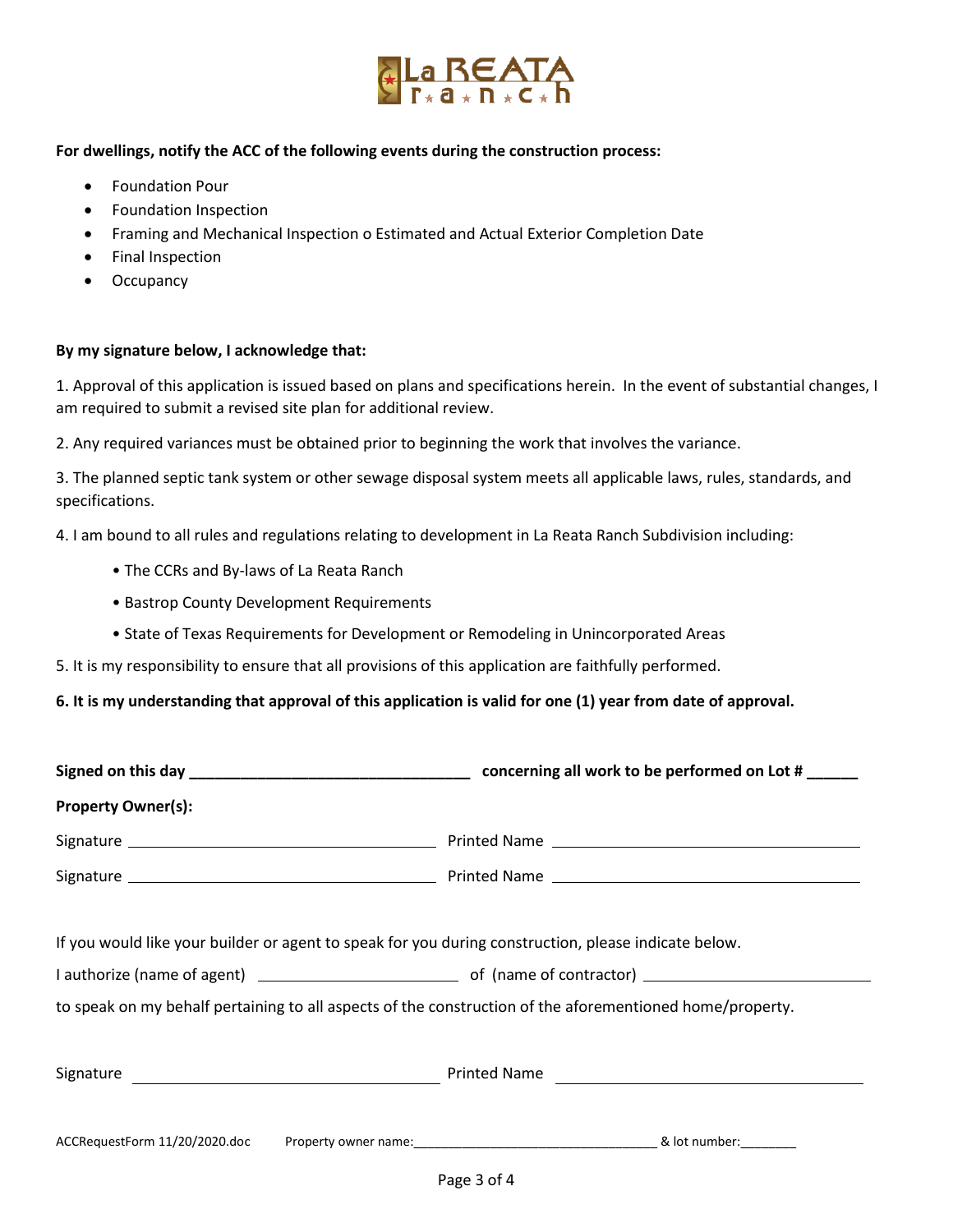

### **For dwellings, notify the ACC of the following events during the construction process:**

- Foundation Pour
- Foundation Inspection
- Framing and Mechanical Inspection o Estimated and Actual Exterior Completion Date
- Final Inspection
- Occupancy

### **By my signature below, I acknowledge that:**

1. Approval of this application is issued based on plans and specifications herein. In the event of substantial changes, I am required to submit a revised site plan for additional review.

2. Any required variances must be obtained prior to beginning the work that involves the variance.

3. The planned septic tank system or other sewage disposal system meets all applicable laws, rules, standards, and specifications.

4. I am bound to all rules and regulations relating to development in La Reata Ranch Subdivision including:

- The CCRs and By-laws of La Reata Ranch
- Bastrop County Development Requirements
- State of Texas Requirements for Development or Remodeling in Unincorporated Areas

5. It is my responsibility to ensure that all provisions of this application are faithfully performed.

### **6. It is my understanding that approval of this application is valid for one (1) year from date of approval.**

| <b>Property Owner(s):</b>                                                                                |              |  |  |  |
|----------------------------------------------------------------------------------------------------------|--------------|--|--|--|
|                                                                                                          |              |  |  |  |
|                                                                                                          |              |  |  |  |
|                                                                                                          |              |  |  |  |
| If you would like your builder or agent to speak for you during construction, please indicate below.     |              |  |  |  |
|                                                                                                          |              |  |  |  |
| to speak on my behalf pertaining to all aspects of the construction of the aforementioned home/property. |              |  |  |  |
|                                                                                                          |              |  |  |  |
|                                                                                                          | Printed Name |  |  |  |
|                                                                                                          |              |  |  |  |
|                                                                                                          |              |  |  |  |